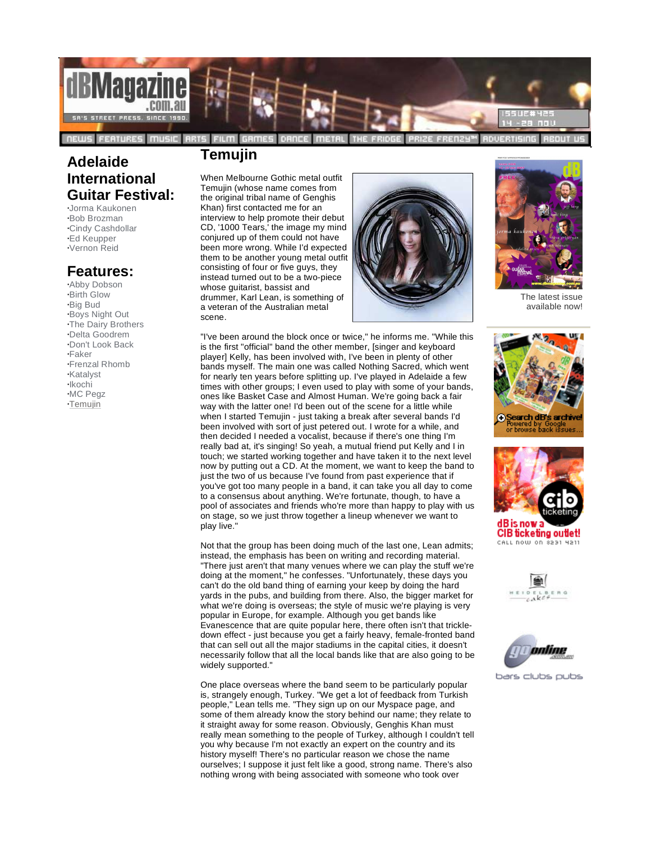

## **Adelaide International Guitar Festival:**

**·**Jorma Kaukonen **·**Bob Brozman **·**Cindy Cashdollar **·**Ed Keupper **·**Vernon Reid

## **Features:**

**·**Abby Dobson **·**Birth Glow **·**Big Bud **·**Boys Night Out **·**The Dairy Brothers **·**Delta Goodrem **·**Don't Look Back **·**Faker **·**Frenzal Rhomb **·**Katalyst **·**Ikochi **·**MC Pegz **·**Temujin

## **Temujin**

When Melbourne Gothic metal outfit Temujin (whose name comes from the original tribal name of Genghis Khan) first contacted me for an interview to help promote their debut CD, '1000 Tears,' the image my mind conjured up of them could not have been more wrong. While I'd expected them to be another young metal outfit consisting of four or five guys, they instead turned out to be a two-piece whose guitarist, bassist and drummer, Karl Lean, is something of a veteran of the Australian metal scene.





The latest issue available now!

"I've been around the block once or twice," he informs me. "While this is the first "official" band the other member, [singer and keyboard player] Kelly, has been involved with, I've been in plenty of other bands myself. The main one was called Nothing Sacred, which went for nearly ten years before splitting up. I've played in Adelaide a few times with other groups; I even used to play with some of your bands, ones like Basket Case and Almost Human. We're going back a fair way with the latter one! I'd been out of the scene for a little while when I started Temujin - just taking a break after several bands I'd been involved with sort of just petered out. I wrote for a while, and then decided I needed a vocalist, because if there's one thing I'm really bad at, it's singing! So yeah, a mutual friend put Kelly and I in touch; we started working together and have taken it to the next level now by putting out a CD. At the moment, we want to keep the band to just the two of us because I've found from past experience that if you've got too many people in a band, it can take you all day to come to a consensus about anything. We're fortunate, though, to have a pool of associates and friends who're more than happy to play with us on stage, so we just throw together a lineup whenever we want to play live.

Not that the group has been doing much of the last one, Lean admits; instead, the emphasis has been on writing and recording material. "There just aren't that many venues where we can play the stuff we're doing at the moment," he confesses. "Unfortunately, these days you can't do the old band thing of earning your keep by doing the hard yards in the pubs, and building from there. Also, the bigger market for what we're doing is overseas; the style of music we're playing is very popular in Europe, for example. Although you get bands like Evanescence that are quite popular here, there often isn't that trickle down effect - just because you get a fairly heavy, female-fronted band that can sell out all the major stadiums in the capital cities, it doesn't necessarily follow that all the local bands like that are also going to be widely supported."

One place overseas where the band seem to be particularly popular is, strangely enough, Turkey. "We get a lot of feedback from Turkish people," Lean tells me. "They sign up on our Myspace page, and some of them already know the story behind our name; they relate to it straight away for some reason. Obviously, Genghis Khan must really mean something to the people of Turkey, although I couldn't tell you why because I'm not exactly an expert on the country and its history myself! There's no particular reason we chose the name ourselves; I suppose it just felt like a good, strong name. There's also nothing wrong with being associated with someone who took over







**CIB ticketing outlet!** CALL NOW ON 8231 4211





bars clubs pubs